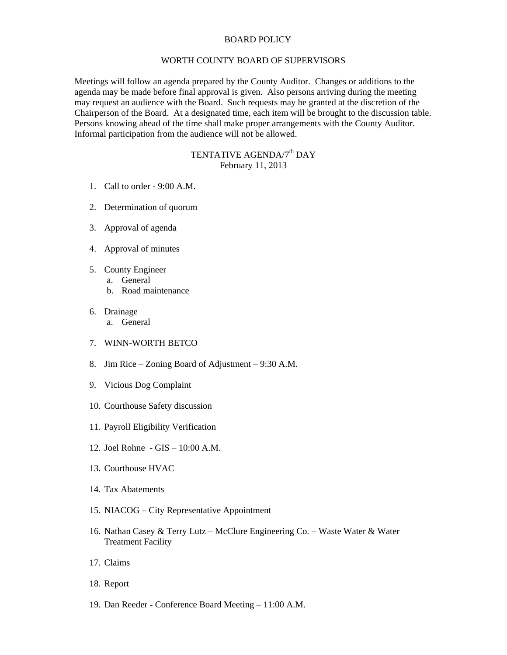## BOARD POLICY

## WORTH COUNTY BOARD OF SUPERVISORS

Meetings will follow an agenda prepared by the County Auditor. Changes or additions to the agenda may be made before final approval is given. Also persons arriving during the meeting may request an audience with the Board. Such requests may be granted at the discretion of the Chairperson of the Board. At a designated time, each item will be brought to the discussion table. Persons knowing ahead of the time shall make proper arrangements with the County Auditor. Informal participation from the audience will not be allowed.

## TENTATIVE AGENDA/7<sup>th</sup> DAY February 11, 2013

- 1. Call to order 9:00 A.M.
- 2. Determination of quorum
- 3. Approval of agenda
- 4. Approval of minutes
- 5. County Engineer
	- a. General
	- b. Road maintenance
- 6. Drainage
	- a. General
- 7. WINN-WORTH BETCO
- 8. Jim Rice Zoning Board of Adjustment 9:30 A.M.
- 9. Vicious Dog Complaint
- 10. Courthouse Safety discussion
- 11. Payroll Eligibility Verification
- 12. Joel Rohne GIS 10:00 A.M.
- 13. Courthouse HVAC
- 14. Tax Abatements
- 15. NIACOG City Representative Appointment
- 16. Nathan Casey & Terry Lutz McClure Engineering Co. Waste Water & Water Treatment Facility
- 17. Claims
- 18. Report
- 19. Dan Reeder Conference Board Meeting 11:00 A.M.